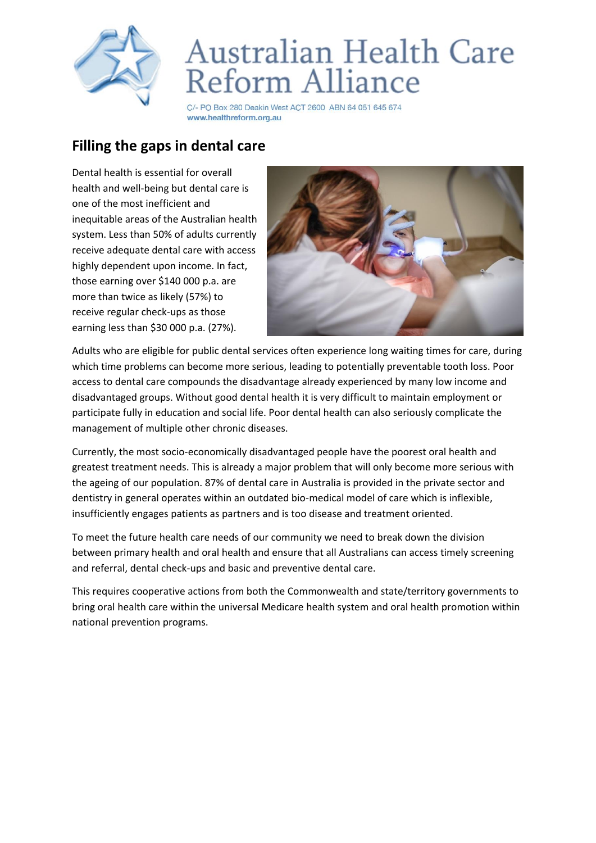

## **Australian Health Care** Reform Alliance

C/- PO Box 280 Deakin West ACT 2600 ABN 64 051 645 674 www.healthreform.org.au

## **Filling the gaps in dental care**

Dental health is essential for overall health and well-being but dental care is one of the most inefficient and inequitable areas of the Australian health system. Less than 50% of adults currently receive adequate dental care with access highly dependent upon income. In fact, those earning over \$140 000 p.a. are more than twice as likely (57%) to receive regular check-ups as those earning less than \$30 000 p.a. (27%).



Adults who are eligible for public dental services often experience long waiting times for care, during which time problems can become more serious, leading to potentially preventable tooth loss. Poor access to dental care compounds the disadvantage already experienced by many low income and disadvantaged groups. Without good dental health it is very difficult to maintain employment or participate fully in education and social life. Poor dental health can also seriously complicate the management of multiple other chronic diseases.

Currently, the most socio-economically disadvantaged people have the poorest oral health and greatest treatment needs. This is already a major problem that will only become more serious with the ageing of our population. 87% of dental care in Australia is provided in the private sector and dentistry in general operates within an outdated bio-medical model of care which is inflexible, insufficiently engages patients as partners and is too disease and treatment oriented.

To meet the future health care needs of our community we need to break down the division between primary health and oral health and ensure that all Australians can access timely screening and referral, dental check-ups and basic and preventive dental care.

This requires cooperative actions from both the Commonwealth and state/territory governments to bring oral health care within the universal Medicare health system and oral health promotion within national prevention programs.